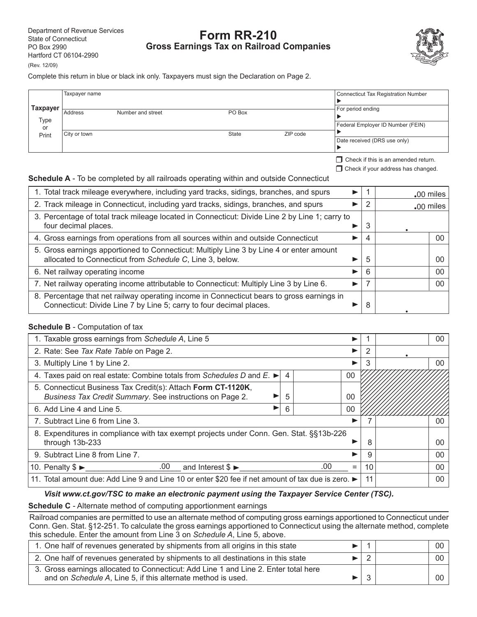# **Form RR-210 Gross Earnings Tax on Railroad Companies**



Complete this return in blue or black ink only. Taxpayers must sign the Declaration on Page 2.

| Taxpayer<br>For period ending<br>Address<br>Number and street<br>PO Box<br>Type<br>Federal Employer ID Number (FEIN)<br>or<br>ZIP code<br>State<br>City or town<br>Print<br>Date received (DRS use only) | Taxpayer name |  |  |  | <b>Connecticut Tax Registration Number</b> |
|----------------------------------------------------------------------------------------------------------------------------------------------------------------------------------------------------------|---------------|--|--|--|--------------------------------------------|
|                                                                                                                                                                                                          |               |  |  |  |                                            |
|                                                                                                                                                                                                          |               |  |  |  |                                            |
|                                                                                                                                                                                                          |               |  |  |  |                                            |

 $\Box$  Check if this is an amended return.  $\Box$  Check if your address has changed.

**Schedule A** - To be completed by all railroads operating within and outside Connecticut

| 1. Total track mileage everywhere, including yard tracks, sidings, branches, and spurs                                                                           |   | .00 miles   |     |
|------------------------------------------------------------------------------------------------------------------------------------------------------------------|---|-------------|-----|
| 2. Track mileage in Connecticut, including yard tracks, sidings, branches, and spurs                                                                             | 2 | $.00$ miles |     |
| 3. Percentage of total track mileage located in Connecticut: Divide Line 2 by Line 1; carry to<br>four decimal places.                                           | 3 |             |     |
| 4. Gross earnings from operations from all sources within and outside Connecticut                                                                                | 4 |             | 00  |
| 5. Gross earnings apportioned to Connecticut: Multiply Line 3 by Line 4 or enter amount<br>allocated to Connecticut from Schedule C, Line 3, below.              | 5 |             | OC. |
| 6. Net railway operating income                                                                                                                                  | 6 |             | 00  |
| 7. Net railway operating income attributable to Connecticut: Multiply Line 3 by Line 6.                                                                          | 7 |             | 00  |
| 8. Percentage that net railway operating income in Connecticut bears to gross earnings in<br>Connecticut: Divide Line 7 by Line 5; carry to four decimal places. | 8 |             |     |

# **Schedule B** - Computation of tax

| 1. Taxable gross earnings from Schedule A, Line 5                                                                                   |                |    |  |    | 00 |
|-------------------------------------------------------------------------------------------------------------------------------------|----------------|----|--|----|----|
| 2. Rate: See Tax Rate Table on Page 2.                                                                                              |                |    |  |    |    |
| 3. Multiply Line 1 by Line 2.                                                                                                       |                |    |  | 3  | 00 |
| 4. Taxes paid on real estate: Combine totals from Schedules D and $E. \rightarrow$                                                  | $\overline{4}$ | 00 |  |    |    |
| 5. Connecticut Business Tax Credit(s): Attach Form CT-1120K,<br>Business Tax Credit Summary. See instructions on Page 2.<br>00<br>5 |                |    |  |    |    |
| 00<br>6. Add Line 4 and Line 5.<br>6                                                                                                |                |    |  |    |    |
| 7. Subtract Line 6 from Line 3.                                                                                                     |                |    |  |    | 00 |
| 8. Expenditures in compliance with tax exempt projects under Conn. Gen. Stat. §§13b-226                                             |                |    |  |    |    |
| through 13b-233                                                                                                                     |                |    |  | 8  | 00 |
| 9. Subtract Line 8 from Line 7.                                                                                                     |                |    |  | 9  | 00 |
| 10. Penalty $\$\triangleright$ .00 and Interest $\$\triangleright$<br>.00<br>$=$                                                    |                |    |  | 10 | 00 |
| 11. Total amount due: Add Line 9 and Line 10 or enter \$20 fee if net amount of tax due is zero.                                    |                |    |  |    | 00 |

# *Visit www.ct.gov/TSC to make an electronic payment using the Taxpayer Service Center (TSC).*

**Schedule C** - Alternate method of computing apportionment earnings

Railroad companies are permitted to use an alternate method of computing gross earnings apportioned to Connecticut under Conn. Gen. Stat. §12-251. To calculate the gross earnings apportioned to Connecticut using the alternate method, complete this schedule. Enter the amount from Line 3 on *Schedule A*, Line 5, above.

| 1. One half of revenues generated by shipments from all origins in this state                                                                       |  | 00 <sup>1</sup> |
|-----------------------------------------------------------------------------------------------------------------------------------------------------|--|-----------------|
| 2. One half of revenues generated by shipments to all destinations in this state                                                                    |  | 00 <sup>1</sup> |
| 3. Gross earnings allocated to Connecticut: Add Line 1 and Line 2. Enter total here<br>and on Schedule A, Line 5, if this alternate method is used. |  | .00 l           |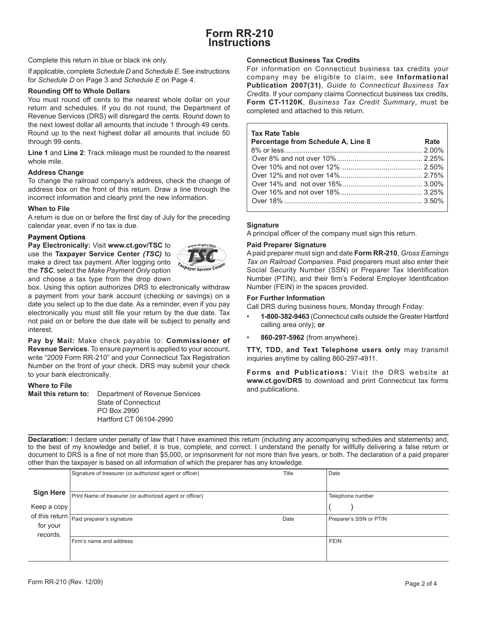# **Form RR-210 Instructions**

Complete this return in blue or black ink only.

If applicable, complete *Schedule D* and *Schedule E*. See instructions for *Schedule D* on Page 3 and *Schedule E* on Page 4.

# **Rounding Off to Whole Dollars**

You must round off cents to the nearest whole dollar on your return and schedules. If you do not round, the Department of Revenue Services (DRS) will disregard the cents. Round down to the next lowest dollar all amounts that include 1 through 49 cents. Round up to the next highest dollar all amounts that include 50 through 99 cents.

**Line 1** and **Line 2**: Track mileage must be rounded to the nearest whole mile.

# **Address Change**

To change the railroad company's address, check the change of address box on the front of this return. Draw a line through the incorrect information and clearly print the new information.

### **When to File**

A return is due on or before the first day of July for the preceding calendar year, even if no tax is due.

# **Payment Options**

**Pay Electronically:** Visit **www.ct.gov/TSC** to use the **Taxpayer Service Center** *(TSC)* to make a direct tax payment. After logging onto the *TSC*, select the *Make Payment Only* option and choose a tax type from the drop down



box. Using this option authorizes DRS to electronically withdraw a payment from your bank account (checking or savings) on a date you select up to the due date. As a reminder, even if you pay electronically you must still file your return by the due date. Tax not paid on or before the due date will be subject to penalty and interest.

**Pay by Mail:** Make check payable to: **Commissioner of Revenue Services**. To ensure payment is applied to your account, write "2009 Form RR-210" and your Connecticut Tax Registration Number on the front of your check. DRS may submit your check to your bank electronically.

## **Where to File**

**Mail this return to:** Department of Revenue Services State of Connecticut PO Box 2990 Hartford CT 06104-2990

## **Connecticut Business Tax Credits**

For information on Connecticut business tax credits your company may be eligible to claim, see **Informational Publication 2007(31)**, *Guide to Connecticut Business Tax Credits*. If your company claims Connecticut business tax credits, **Form CT-1120K**, *Business Tax Credit Summary*, must be completed and attached to this return.

#### **Tax Rate Table**

| Percentage from Schedule A, Line 8 | Rate |
|------------------------------------|------|
|                                    |      |
|                                    |      |
|                                    |      |
|                                    |      |
|                                    |      |
|                                    |      |
|                                    |      |

### **Signature**

A principal officer of the company must sign this return.

### **Paid Preparer Signature**

A paid preparer must sign and date **Form RR-210**, *Gross Earnings Tax on Railroad Companies*. Paid preparers must also enter their Social Security Number (SSN) or Preparer Tax Identification Number (PTIN), and their firm's Federal Employer Identification Number (FEIN) in the spaces provided.

### **For Further Information**

Call DRS during business hours, Monday through Friday:

- **1-800-382-9463** (Connecticut calls outside the Greater Hartford calling area only); **or**
- **860-297-5962** (from anywhere).

**TTY, TDD, and Text Telephone users only** may transmit inquiries anytime by calling 860-297-4911.

**Forms and Publications:** Visit the DRS website at **www.ct.gov/DRS** to download and print Connecticut tax forms and publications.

**Declaration:** I declare under penalty of law that I have examined this return (including any accompanying schedules and statements) and, to the best of my knowledge and belief, it is true, complete, and correct. I understand the penalty for willfully delivering a false return or document to DRS is a fine of not more than \$5,000, or imprisonment for not more than five years, or both. The declaration of a paid preparer other than the taxpayer is based on all information of which the preparer has any knowledge.

|                      | Signature of treasurer (or authorized agent or officer)           | Title | Date                   |
|----------------------|-------------------------------------------------------------------|-------|------------------------|
|                      |                                                                   |       |                        |
| <b>Sign Here</b>     | Print Name of treasurer (or authorized agent or officer)          |       | Telephone number       |
| Keep a copy          |                                                                   |       |                        |
| for your<br>records. | of this return $\boxed{\frac{}{ \text{Paid proper's signature}}}$ | Date  | Preparer's SSN or PTIN |
|                      | Firm's name and address                                           |       | <b>FEIN</b>            |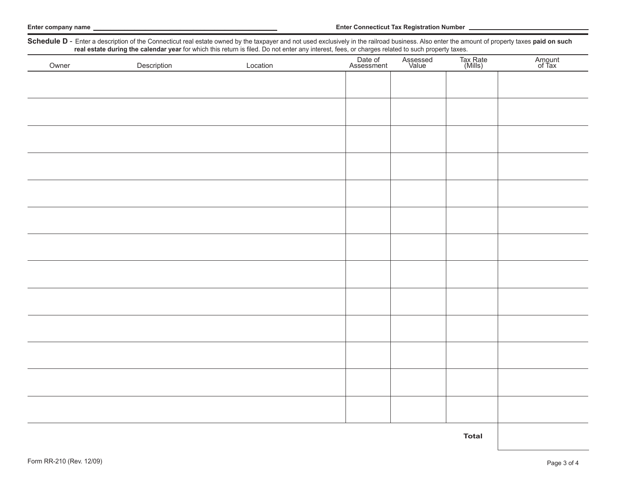| Schedule D - Enter a description of the Connecticut real estate owned by the taxpayer and not used exclusively in the railroad business. Also enter the amount of property taxes paid on such real estate during the calendar |             |          |                       |                   |                     |                  |  |
|-------------------------------------------------------------------------------------------------------------------------------------------------------------------------------------------------------------------------------|-------------|----------|-----------------------|-------------------|---------------------|------------------|--|
| Owner                                                                                                                                                                                                                         | Description | Location | Date of<br>Assessment | Assessed<br>Value | Tax Rate<br>(Mills) | Amount<br>of Tax |  |
|                                                                                                                                                                                                                               |             |          |                       |                   |                     |                  |  |
|                                                                                                                                                                                                                               |             |          |                       |                   |                     |                  |  |
|                                                                                                                                                                                                                               |             |          |                       |                   |                     |                  |  |
|                                                                                                                                                                                                                               |             |          |                       |                   |                     |                  |  |
|                                                                                                                                                                                                                               |             |          |                       |                   |                     |                  |  |
|                                                                                                                                                                                                                               |             |          |                       |                   |                     |                  |  |
|                                                                                                                                                                                                                               |             |          |                       |                   |                     |                  |  |
|                                                                                                                                                                                                                               |             |          |                       |                   |                     |                  |  |
|                                                                                                                                                                                                                               |             |          |                       |                   |                     |                  |  |
|                                                                                                                                                                                                                               |             |          |                       |                   |                     |                  |  |
|                                                                                                                                                                                                                               |             |          |                       |                   |                     |                  |  |
|                                                                                                                                                                                                                               |             |          |                       |                   |                     |                  |  |
|                                                                                                                                                                                                                               |             |          |                       |                   |                     |                  |  |
|                                                                                                                                                                                                                               |             |          |                       |                   |                     |                  |  |
|                                                                                                                                                                                                                               |             |          |                       |                   |                     |                  |  |
|                                                                                                                                                                                                                               |             |          |                       |                   |                     |                  |  |
|                                                                                                                                                                                                                               |             |          |                       |                   |                     |                  |  |
|                                                                                                                                                                                                                               |             |          |                       |                   |                     |                  |  |
|                                                                                                                                                                                                                               |             |          |                       |                   |                     |                  |  |
|                                                                                                                                                                                                                               |             |          |                       |                   |                     |                  |  |
|                                                                                                                                                                                                                               |             |          |                       |                   |                     |                  |  |
|                                                                                                                                                                                                                               |             |          |                       |                   |                     |                  |  |
|                                                                                                                                                                                                                               |             |          |                       |                   |                     |                  |  |
|                                                                                                                                                                                                                               |             |          |                       |                   |                     |                  |  |

**Total**